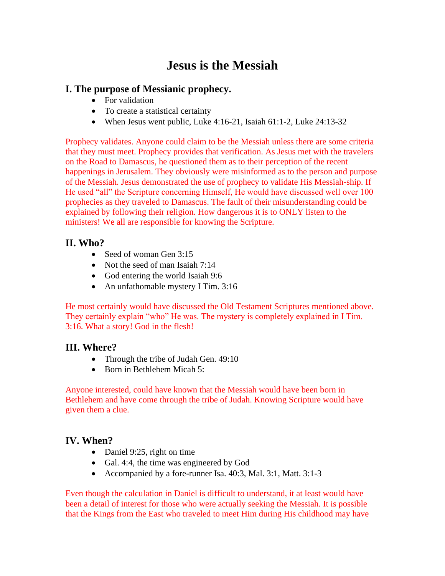# **Jesus is the Messiah**

# **I. The purpose of Messianic prophecy.**

- For validation
- To create a statistical certainty
- When Jesus went public, Luke 4:16-21, Isaiah 61:1-2, Luke 24:13-32

Prophecy validates. Anyone could claim to be the Messiah unless there are some criteria that they must meet. Prophecy provides that verification. As Jesus met with the travelers on the Road to Damascus, he questioned them as to their perception of the recent happenings in Jerusalem. They obviously were misinformed as to the person and purpose of the Messiah. Jesus demonstrated the use of prophecy to validate His Messiah-ship. If He used "all" the Scripture concerning Himself, He would have discussed well over 100 prophecies as they traveled to Damascus. The fault of their misunderstanding could be explained by following their religion. How dangerous it is to ONLY listen to the ministers! We all are responsible for knowing the Scripture.

# **II. Who?**

- Seed of woman Gen 3:15
- Not the seed of man Isaiah 7:14
- God entering the world Isaiah 9:6
- An unfathomable mystery I Tim. 3:16

He most certainly would have discussed the Old Testament Scriptures mentioned above. They certainly explain "who" He was. The mystery is completely explained in I Tim. 3:16. What a story! God in the flesh!

# **III. Where?**

- Through the tribe of Judah Gen. 49:10
- Born in Bethlehem Micah 5:

Anyone interested, could have known that the Messiah would have been born in Bethlehem and have come through the tribe of Judah. Knowing Scripture would have given them a clue.

# **IV. When?**

- Daniel 9:25, right on time
- Gal. 4:4, the time was engineered by God
- Accompanied by a fore-runner Isa. 40:3, Mal. 3:1, Matt. 3:1-3

Even though the calculation in Daniel is difficult to understand, it at least would have been a detail of interest for those who were actually seeking the Messiah. It is possible that the Kings from the East who traveled to meet Him during His childhood may have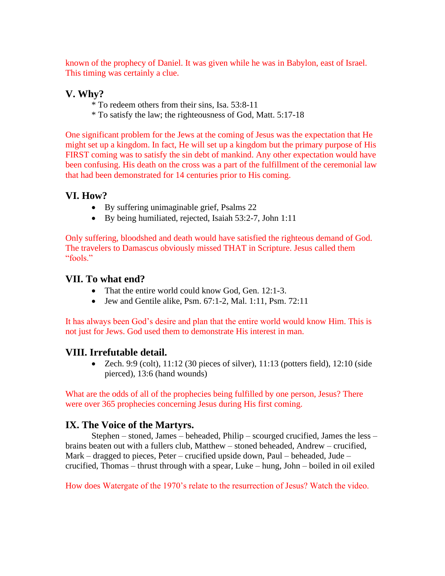known of the prophecy of Daniel. It was given while he was in Babylon, east of Israel. This timing was certainly a clue.

### **V. Why?**

- \* To redeem others from their sins, Isa. 53:8-11
- \* To satisfy the law; the righteousness of God, Matt. 5:17-18

One significant problem for the Jews at the coming of Jesus was the expectation that He might set up a kingdom. In fact, He will set up a kingdom but the primary purpose of His FIRST coming was to satisfy the sin debt of mankind. Any other expectation would have been confusing. His death on the cross was a part of the fulfillment of the ceremonial law that had been demonstrated for 14 centuries prior to His coming.

# **VI. How?**

- By suffering unimaginable grief, Psalms 22
- By being humiliated, rejected, Isaiah 53:2-7, John 1:11

Only suffering, bloodshed and death would have satisfied the righteous demand of God. The travelers to Damascus obviously missed THAT in Scripture. Jesus called them "fools"

### **VII. To what end?**

- That the entire world could know God, Gen. 12:1-3.
- Jew and Gentile alike, Psm.  $67:1-2$ , Mal.  $1:11$ , Psm.  $72:11$

It has always been God's desire and plan that the entire world would know Him. This is not just for Jews. God used them to demonstrate His interest in man.

# **VIII. Irrefutable detail.**

• Zech. 9:9 (colt),  $11:12$  (30 pieces of silver),  $11:13$  (potters field),  $12:10$  (side pierced), 13:6 (hand wounds)

What are the odds of all of the prophecies being fulfilled by one person, Jesus? There were over 365 prophecies concerning Jesus during His first coming.

# **IX. The Voice of the Martyrs.**

Stephen – stoned, James – beheaded, Philip – scourged crucified, James the less – brains beaten out with a fullers club, Matthew – stoned beheaded, Andrew – crucified, Mark – dragged to pieces, Peter – crucified upside down, Paul – beheaded, Jude – crucified, Thomas – thrust through with a spear, Luke – hung, John – boiled in oil exiled

How does Watergate of the 1970's relate to the resurrection of Jesus? Watch the video.